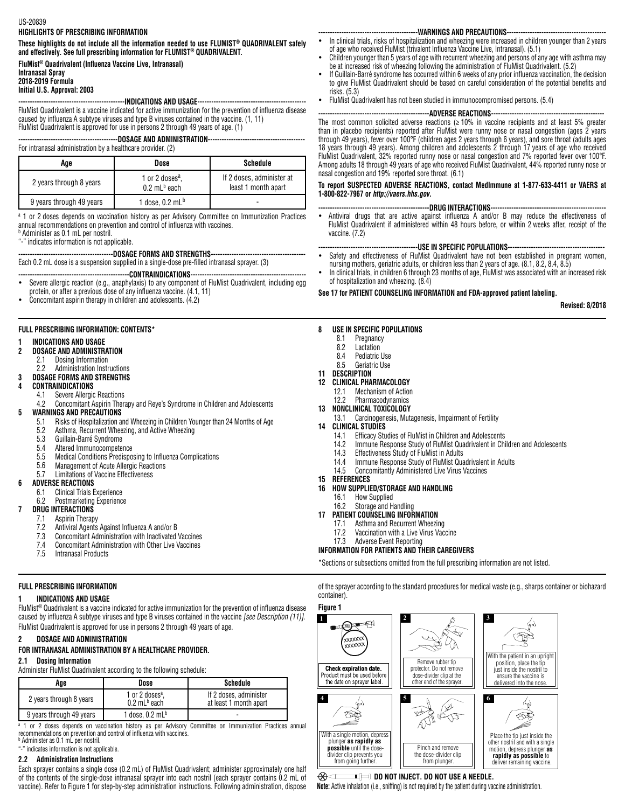#### US-20839

### **HIGHLIGHTS OF PRESCRIBING INFORMATION**

**These highlights do not include all the information needed to use FLUMIST® QUADRIVALENT safely and effectively. See full prescribing information for FLUMIST® QUADRIVALENT.**

**FluMist® Quadrivalent (Influenza Vaccine Live, Intranasal) Intranasal Spray**

#### **2018-2019 Formula Initial U.S. Approval: 2003**

#### -INDICATIONS AND USAGE-

FluMist Quadrivalent is a vaccine indicated for active immunization for the prevention of influenza disease caused by influenza A subtype viruses and type B viruses contained in the vaccine. (1, 11) FluMist Quadrivalent is approved for use in persons 2 through 49 years of age. (1)

#### ---DOSAGE AND ADMINISTRATION-

| Aae                      | Dose                                             | Schedule                                         |
|--------------------------|--------------------------------------------------|--------------------------------------------------|
| 2 years through 8 years  | 1 or 2 doses $a$ ,<br>$0.2$ mL <sup>b</sup> each | If 2 doses, administer at<br>least 1 month apart |
| 9 years through 49 years | 1 dose, $0.2$ mL <sup>b</sup>                    |                                                  |

<sup>a</sup> 1 or 2 doses depends on vaccination history as per Advisory Committee on Immunization Practices annual recommendations on prevention and control of influenza with vaccines.

b Administer as 0.1 mL per nostril.

"-" indicates information is not applicable.

#### **-----------------------------------------DOSAGE FORMS AND STRENGTHS-----------------------------------------**

#### Each 0.2 mL dose is a suspension supplied in a single-dose pre-filled intranasal sprayer. (3)

#### **------------------------------------------------CONTRAINDICATIONS--------------------------------------------------**

- Severe allergic reaction (e.g., anaphylaxis) to any component of FluMist Quadrivalent, including egg protein, or after a previous dose of any influenza vaccine. (4.1, 11)
- Concomitant aspirin therapy in children and adolescents. (4.2)

#### **FULL PRESCRIBING INFORMATION: CONTENTS\***

#### **1 INDICATIONS AND USAGE**

- **2 DOSAGE AND ADMINISTRATION**
	- 2.1 Dosing Information
	- Administration Instructions
- **3 DOSAGE FORMS AND STRENGTHS**

#### **4 CONTRAINDICATIONS**

- 
- 4.1 Severe Allergic Reactions<br>4.2 Concomitant Aspirin Ther 4.2 Concomitant Aspirin Therapy and Reye's Syndrome in Children and Adolescents
- **5 WARNINGS AND PRECAUTIONS**
	- 5.1 Risks of Hospitalization and Wheezing in Children Younger than 24 Months of Age
	- 5.2 Asthma, Recurrent Wheezing, and Active Wheezing
	-
	- 5.3 Guillain-Barré Syndrome Altered Immunocompetence
	- 5.5 Medical Conditions Predisposing to Influenza Complications
	- 5.6 Management of Acute Allergic Reactions
	- 5.7 Limitations of Vaccine Effectiveness

#### **6 ADVERSE REACTIONS**

- 6.1 Clinical Trials Experience
- 6.2 Postmarketing Experience

#### **7 DRUG INTERACTIONS**

- - 7.1 Aspirin Therapy
	- 7.2 Antiviral Agents Against Influenza A and/or B
	- 7.3 Concomitant Administration with Inactivated Vaccines<br>7.4 Concomitant Administration with Other Live Vaccines 7.4 Concomitant Administration with Other Live Vaccines
	- **Intranasal Products**

#### **FULL PRESCRIBING INFORMATION**

#### **1 INDICATIONS AND USAGE**

FluMist® Quadrivalent is a vaccine indicated for active immunization for the prevention of influenza disease caused by influenza A subtype viruses and type B viruses contained in the vaccine *[see Description (11)]*. FluMist Quadrivalent is approved for use in persons 2 through 49 years of age.

#### **2 DOSAGE AND ADMINISTRATION**

#### **FOR INTRANASAL ADMINISTRATION BY A HEALTHCARE PROVIDER.**

#### **2.1 Dosing Information**

Administer FluMist Quadrivalent according to the following schedule:

| Aae                      | Dose                                             | Schedule                                         |
|--------------------------|--------------------------------------------------|--------------------------------------------------|
| 2 years through 8 years  | 1 or 2 doses $a$ .<br>$0.2$ mL <sup>b</sup> each | If 2 doses, administer<br>at least 1 month apart |
| 9 years through 49 years | 1 dose, $0.2$ mL <sup>b</sup>                    |                                                  |

a 1 or 2 doses depends on vaccination history as per Advisory Committee on Immunization Practices annual recommendations on prevention and control of influenza with vaccines.

b Administer as 0.1 mL per nostril. "-" indicates information is not applicable.

#### **2.2 Administration Instructions**

Each sprayer contains a single dose (0.2 mL) of FluMist Quadrivalent; administer approximately one half of the contents of the single-dose intranasal sprayer into each nostril (each sprayer contains 0.2 mL of vaccine). Refer to Figure 1 for step-by-step administration instructions. Following administration, dispose ---WARNINGS AND PRECAUTIONS--

- In clinical trials, risks of hospitalization and wheezing were increased in children younger than 2 years of age who received FluMist (trivalent Influenza Vaccine Live, Intranasal). (5.1)
- Children younger than 5 years of age with recurrent wheezing and persons of any age with asthma may be at increased risk of wheezing following the administration of FluMist Quadrivalent. (5.2)
- If Guillain-Barré syndrome has occurred within 6 weeks of any prior influenza vaccination, the decision to give FluMist Quadrivalent should be based on careful consideration of the potential benefits and risks. (5.3)
- FluMist Quadrivalent has not been studied in immunocompromised persons. (5.4)

#### **------------------------------------------------ADVERSE REACTIONS-------------------------------------------------**

The most common solicited adverse reactions ( $\geq$  10% in vaccine recipients and at least 5% greater than in placebo recipients) reported after FluMist were runny nose or nasal congestion (ages 2 years through 49 years), fever over 100°F (children ages 2 years through 6 years), and sore throat (adults ages 18 years through 49 years). Among children and adolescents 2 through 17 years of age who received FluMist Quadrivalent, 32% reported runny nose or nasal congestion and 7% reported fever over 100°F. Among adults 18 through 49 years of age who received FluMist Quadrivalent, 44% reported runny nose or nasal congestion and 19% reported sore throat. (6.1)

#### **To report SUSPECTED ADVERSE REACTIONS, contact MedImmune at 1-877-633-4411 or VAERS at 1-800-822-7967 or** *http://vaers.hhs.gov***.**

#### **------------------------------------------------DRUG INTERACTIONS--------------------------------------------------**

Antiviral drugs that are active against influenza A and/or B may reduce the effectiveness of FluMist Quadrivalent if administered within 48 hours before, or within 2 weeks after, receipt of the vaccine. (7.2)

#### ---USE IN SPECIFIC POPULATIONS-

- Safety and effectiveness of FluMist Quadrivalent have not been established in pregnant women, nursing mothers, geriatric adults, or children less than 2 years of age. (8.1, 8.2, 8.4, 8.5)
- In clinical trials, in children 6 through 23 months of age, FluMist was associated with an increased risk of hospitalization and wheezing. (8.4)

#### **See 17 for PATIENT COUNSELING INFORMATION and FDA-approved patient labeling.**

#### **Revised: 8/2018**

#### **8 USE IN SPECIFIC POPULATIONS**

- 8.1 Pregnancy<br>8.2 Lactation
- 8.2 Lactation<br>8.4 Pediatric
- Pediatric Use
- 8.5 Geriatric Use
- **11 DESCRIPTION**
	- **12 CLINICAL PHARMACOLOGY**
	- 12.1 Mechanism of Action
- 12.2 Pharmacodynamics **13 NONCLINICAL TOXICOLOGY**
	-
	- 13.1 Carcinogenesis, Mutagenesis, Impairment of Fertility
- **14 CLINICAL STUDIES** 14.1 Efficacy Studies of FluMist in Children and Adolescents
	-
	- 14.2 Immune Response Study of FluMist Quadrivalent in Children and Adolescents **Effectiveness Study of FluMist in Adults**
	-
	- 14.4 Immune Response Study of FluMist Quadrivalent in Adults Concomitantly Administered Live Virus Vaccines
- **15 REFERENCES**
- **16 HOW SUPPLIED/STORAGE AND HANDLING**
	-
	- 16.1 How Supplied<br>16.2 Storage and H Storage and Handling
- **17 PATIENT COUNSELING INFORMATION**
	- 17.1 Asthma and Recurrent Wheezing
	- 17.2 Vaccination with a Live Virus Vaccine
	- 17.3 Adverse Event Reporting

#### **INFORMATION FOR PATIENTS AND THEIR CAREGIVERS**

\*Sections or subsections omitted from the full prescribing information are not listed.

of the sprayer according to the standard procedures for medical waste (e.g., sharps container or biohazard container).

**Figure 1 2 3** € (مۇ ₹ω E ,<br><sub>xxxxx</sub>x Š **XXXXX** With the patient in an upright position, place the tip Remove rubber tip protector. Do not remove **Check expiration date** just inside the nostril to Product must be used befor<br>the date on sprayer label ensure the vaccine is dose-divider clip at the other end of the sprayer. delivered into the nose. **4 5 6** ý **RES** 65€ ₹ With a single motion, depress Place the tip just inside the plunger **as rapidly as**  other nostril and with a single motion, depress plunger **as possible** until the dose-Pinch and remove the dose-divider clip divider clip prevents you **rapidly as possible** to from going further from plunger. deliver remaining vaccine.

**DO NOT INJECT. DO NOT USE A NEEDLE.** ∞≕

**Note:** Active inhalation (i.e., sniffing) is not required by the patient during vaccine administration.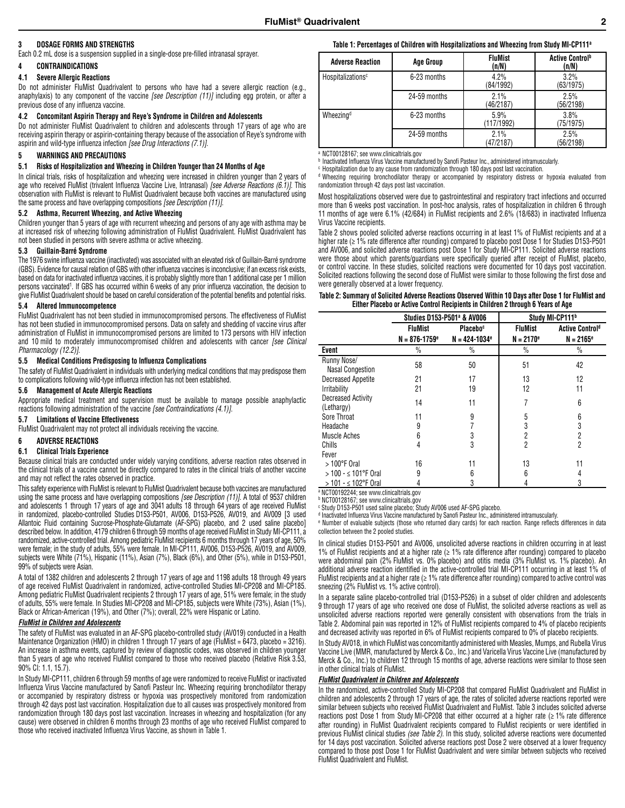#### **3 DOSAGE FORMS AND STRENGTHS**

Each 0.2 mL dose is a suspension supplied in a single-dose pre-filled intranasal sprayer.

#### **4 CONTRAINDICATIONS**

#### **4.1 Severe Allergic Reactions**

Do not administer FluMist Quadrivalent to persons who have had a severe allergic reaction (e.g., anaphylaxis) to any component of the vaccine *[see Description (11)]* including egg protein, or after a previous dose of any influenza vaccine.

#### **4.2 Concomitant Aspirin Therapy and Reye's Syndrome in Children and Adolescents**

Do not administer FluMist Quadrivalent to children and adolescents through 17 years of age who are receiving aspirin therapy or aspirin-containing therapy because of the association of Reye's syndrome with aspirin and wild-type influenza infection *[see Drug Interactions (7.1)]*.

#### **5 WARNINGS AND PRECAUTIONS**

#### **5.1 Risks of Hospitalization and Wheezing in Children Younger than 24 Months of Age**

In clinical trials, risks of hospitalization and wheezing were increased in children younger than 2 years of age who received FluMist (trivalent Influenza Vaccine Live, Intranasal) *[see Adverse Reactions (6.1)]*. This observation with FluMist is relevant to FluMist Quadrivalent because both vaccines are manufactured using the same process and have overlapping compositions *[see Description (11)]*.

#### **5.2 Asthma, Recurrent Wheezing, and Active Wheezing**

Children younger than 5 years of age with recurrent wheezing and persons of any age with asthma may be at increased risk of wheezing following administration of FluMist Quadrivalent. FluMist Quadrivalent has not been studied in persons with severe asthma or active wheezing.

#### **5.3 Guillain-Barré Syndrome**

The 1976 swine influenza vaccine (inactivated) was associated with an elevated risk of Guillain-Barré syndrome (GBS). Evidence for causal relation of GBS with other influenza vaccines is inconclusive; if an excess risk exists, based on data for inactivated influenza vaccines, it is probably slightly more than 1 additional case per 1 million persons vaccinated<sup>1</sup>. If GBS has occurred within 6 weeks of any prior influenza vaccination, the decision to give FluMist Quadrivalent should be based on careful consideration of the potential benefits and potential risks.

#### **5.4 Altered Immunocompetence**

FluMist Quadrivalent has not been studied in immunocompromised persons. The effectiveness of FluMist has not been studied in immunocompromised persons. Data on safety and shedding of vaccine virus after administration of FluMist in immunocompromised persons are limited to 173 persons with HIV infection and 10 mild to moderately immunocompromised children and adolescents with cancer *[see Clinical Pharmacology (12.2)]*.

#### **5.5 Medical Conditions Predisposing to Influenza Complications**

The safety of FluMist Quadrivalent in individuals with underlying medical conditions that may predispose them to complications following wild-type influenza infection has not been established.

#### **5.6 Management of Acute Allergic Reactions**

Appropriate medical treatment and supervision must be available to manage possible anaphylactic reactions following administration of the vaccine *[see Contraindications (4.1)]*.

#### **5.7 Limitations of Vaccine Effectiveness**

FluMist Quadrivalent may not protect all individuals receiving the vaccine.

#### **6 ADVERSE REACTIONS**

#### **6.1 Clinical Trials Experience**

Because clinical trials are conducted under widely varying conditions, adverse reaction rates observed in the clinical trials of a vaccine cannot be directly compared to rates in the clinical trials of another vaccine and may not reflect the rates observed in practice.

This safety experience with FluMist is relevant to FluMist Quadrivalent because both vaccines are manufactured using the same process and have overlapping compositions *[see Description (11)]*. A total of 9537 children and adolescents 1 through 17 years of age and 3041 adults 18 through 64 years of age received FluMist in randomized, placebo-controlled Studies D153-P501, AV006, D153-P526, AV019, and AV009 [3 used Allantoic Fluid containing Sucrose-Phosphate-Glutamate (AF-SPG) placebo, and 2 used saline placebo] described below. In addition, 4179 children 6 through 59 months of age received FluMist in Study MI-CP111, a randomized, active-controlled trial. Among pediatric FluMist recipients 6 months through 17 years of age, 50% were female; in the study of adults, 55% were female. In MI-CP111, AV006, D153-P526, AV019, and AV009, subjects were White (71%), Hispanic (11%), Asian (7%), Black (6%), and Other (5%), while in D153-P501, 99% of subjects were Asian.

A total of 1382 children and adolescents 2 through 17 years of age and 1198 adults 18 through 49 years of age received FluMist Quadrivalent in randomized, active-controlled Studies MI-CP208 and MI-CP185. Among pediatric FluMist Quadrivalent recipients 2 through 17 years of age, 51% were female; in the study of adults, 55% were female. In Studies MI-CP208 and MI-CP185, subjects were White (73%), Asian (1%), Black or African-American (19%), and Other (7%); overall, 22% were Hispanic or Latino.

#### *FluMist in Children and Adolescents*

The safety of FluMist was evaluated in an AF-SPG placebo-controlled study (AV019) conducted in a Health Maintenance Organization (HMO) in children 1 through 17 years of age (FluMist = 6473, placebo = 3216). An increase in asthma events, captured by review of diagnostic codes, was observed in children younger than 5 years of age who received FluMist compared to those who received placebo (Relative Risk 3.53, 90% CI: 1.1, 15.7).

In Study MI-CP111, children 6 through 59 months of age were randomized to receive FluMist or inactivated Influenza Virus Vaccine manufactured by Sanofi Pasteur Inc. Wheezing requiring bronchodilator therapy or accompanied by respiratory distress or hypoxia was prospectively monitored from randomization through 42 days post last vaccination. Hospitalization due to all causes was prospectively monitored from randomization through 180 days post last vaccination. Increases in wheezing and hospitalization (for any cause) were observed in children 6 months through 23 months of age who received FluMist compared to those who received inactivated Influenza Virus Vaccine, as shown in Table 1.

#### **Table 1: Percentages of Children with Hospitalizations and Wheezing from Study MI-CP111a**

| <b>Adverse Reaction</b>       | <b>Age Group</b> | <b>FluMist</b><br>(n/N) | <b>Active Control</b> <sup>b</sup><br>(n/N) |
|-------------------------------|------------------|-------------------------|---------------------------------------------|
| Hospitalizations <sup>c</sup> | 6-23 months      | 4.2%<br>(84/1992)       | 3.2%<br>(63/1975)                           |
|                               | 24-59 months     | 2.1%<br>(46/2187)       | 2.5%<br>(56/2198)                           |
| Wheezing <sup>d</sup>         | 6-23 months      | 5.9%<br>(117/1992)      | 3.8%<br>(75/1975)                           |
|                               | 24-59 months     | 2.1%<br>(47/2187)       | 2.5%<br>(56/2198)                           |

<sup>a</sup> NCT00128167; see www.clinicaltrials.gov

<sup>b</sup> Inactivated Influenza Virus Vaccine manufactured by Sanofi Pasteur Inc., administered intramuscularly.

 $\,^{\circ}$  Hospitalization due to any cause from randomization through 180 days post last vaccination.

<sup>d</sup> Wheezing requiring bronchodilator therapy or accompanied by respiratory distress or hypoxia evaluated from randomization through 42 days post last vaccination.

Most hospitalizations observed were due to gastrointestinal and respiratory tract infections and occurred more than 6 weeks post vaccination. In post-hoc analysis, rates of hospitalization in children 6 through 11 months of age were 6.1% (42/684) in FluMist recipients and 2.6% (18/683) in inactivated Influenza Virus Vaccine recipients.

Table 2 shows pooled solicited adverse reactions occurring in at least 1% of FluMist recipients and at a higher rate (≥ 1% rate difference after rounding) compared to placebo post Dose 1 for Studies D153-P501 and AV006, and solicited adverse reactions post Dose 1 for Study MI-CP111. Solicited adverse reactions were those about which parents/guardians were specifically queried after receipt of FluMist, placebo, or control vaccine. In these studies, solicited reactions were documented for 10 days post vaccination. Solicited reactions following the second dose of FluMist were similar to those following the first dose and were generally observed at a lower frequency.

#### **Table 2: Summary of Solicited Adverse Reactions Observed Within 10 Days after Dose 1 for FluMist and Either Placebo or Active Control Recipients in Children 2 through 6 Years of Age**

|                                         |                               | <b>Studies D153-P501<sup>ª</sup> &amp; AV006</b> |                    | Study MI-CP111 <sup>b</sup> |
|-----------------------------------------|-------------------------------|--------------------------------------------------|--------------------|-----------------------------|
|                                         | <b>FluMist</b>                | <b>Placebo</b> <sup>c</sup>                      | <b>FluMist</b>     | <b>Active Controld</b>      |
|                                         | $N = 876 - 1759$ <sup>e</sup> | $N = 424 - 1034$ <sup>e</sup>                    | $N = 2170^{\circ}$ | $N = 2165^{\circ}$          |
| Event                                   | $\%$                          | $\%$                                             | $\%$               | $\%$                        |
| Runny Nose/<br><b>Nasal Congestion</b>  | 58                            | 50                                               | 51                 | 42                          |
| Decreased Appetite                      | 21                            | 17                                               | 13                 | 12                          |
| <b>Irritability</b>                     | 21                            | 19                                               | 12                 | 11                          |
| <b>Decreased Activity</b><br>(Lethargy) | 14                            | 11                                               |                    | 6                           |
| Sore Throat                             | 11                            | 9                                                | 5                  | 6                           |
| Headache                                |                               |                                                  | 3                  | 3                           |
| Muscle Aches                            |                               | 3                                                | 2                  | 2                           |
| Chills                                  |                               | 3                                                | 2                  | 2                           |
| Fever                                   |                               |                                                  |                    |                             |
| $>100^{\circ}$ F Oral                   | 16                            | 11                                               | 13                 | 11                          |
| $> 100 - \le 101$ °F Oral               | 9                             | 6                                                | 6                  |                             |
| > 101 - ≤ 102°F Oral                    |                               | 3                                                |                    | 3                           |

a NCT00192244; see www.clinicaltrials.gov

b NCT00128167; see www.clinicaltrials.gov

 $\,^{\rm c}$  Study D153-P501 used saline placebo; Study AV006 used AF-SPG placebo.

d Inactivated Influenza Virus Vaccine manufactured by Sanofi Pasteur Inc., administered intramuscularly.

e Number of evaluable subjects (those who returned diary cards) for each reaction. Range reflects differences in data collection between the 2 pooled studies.

In clinical studies D153-P501 and AV006, unsolicited adverse reactions in children occurring in at least 1% of FluMist recipients and at a higher rate ( $\geq$  1% rate difference after rounding) compared to placebo were abdominal pain (2% FluMist vs. 0% placebo) and otitis media (3% FluMist vs. 1% placebo). An additional adverse reaction identified in the active-controlled trial MI-CP111 occurring in at least 1% of FluMist recipients and at a higher rate ( $\geq$  1% rate difference after rounding) compared to active control was sneezing (2% FluMist vs. 1% active control).

In a separate saline placebo-controlled trial (D153-P526) in a subset of older children and adolescents 9 through 17 years of age who received one dose of FluMist, the solicited adverse reactions as well as unsolicited adverse reactions reported were generally consistent with observations from the trials in Table 2. Abdominal pain was reported in 12% of FluMist recipients compared to 4% of placebo recipients and decreased activity was reported in 6% of FluMist recipients compared to 0% of placebo recipients.

In Study AV018, in which FluMist was concomitantly administered with Measles, Mumps, and Rubella Virus Vaccine Live (MMR, manufactured by Merck & Co., Inc.) and Varicella Virus Vaccine Live (manufactured by Merck & Co., Inc.) to children 12 through 15 months of age, adverse reactions were similar to those seen in other clinical trials of FluMist.

#### *FluMist Quadrivalent in Children and Adolescents*

In the randomized, active-controlled Study MI-CP208 that compared FluMist Quadrivalent and FluMist in children and adolescents 2 through 17 years of age, the rates of solicited adverse reactions reported were similar between subjects who received FluMist Quadrivalent and FluMist. Table 3 includes solicited adverse reactions post Dose 1 from Study MI-CP208 that either occurred at a higher rate (≥ 1% rate difference after rounding) in FluMist Quadrivalent recipients compared to FluMist recipients or were identified in previous FluMist clinical studies *(see Table 2)*. In this study, solicited adverse reactions were documented for 14 days post vaccination. Solicited adverse reactions post Dose 2 were observed at a lower frequency compared to those post Dose 1 for FluMist Quadrivalent and were similar between subjects who received FluMist Quadrivalent and FluMist.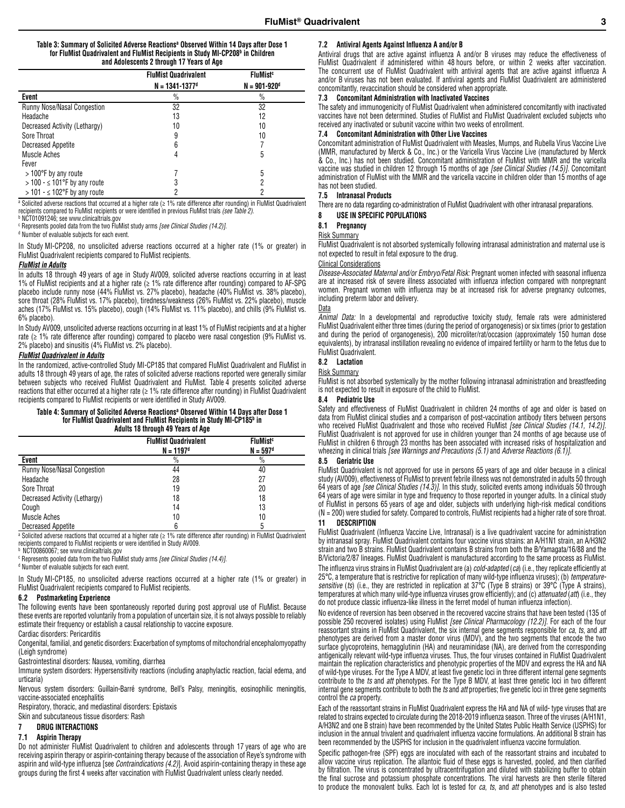#### Table 3: Summary of Solicited Adverse Reactionsª Observed Within 14 Days after Dose 1 **for FluMist Quadrivalent and FluMist Recipients in Study MI-CP208b in Children and Adolescents 2 through 17 Years of Age**

|                                           | <b>FluMist Quadrivalent</b>          | <b>FluMist<sup>c</sup></b>         |
|-------------------------------------------|--------------------------------------|------------------------------------|
| Event                                     | $N = 1341 - 1377^d$<br>$\frac{0}{0}$ | $N = 901 - 920^d$<br>$\frac{0}{0}$ |
|                                           |                                      |                                    |
| Runny Nose/Nasal Congestion               | 32                                   | 32                                 |
| Headache                                  | 13                                   | 12                                 |
| Decreased Activity (Lethargy)             | 10                                   | 10                                 |
| Sore Throat                               | 9                                    | 10                                 |
| Decreased Appetite                        | 6                                    |                                    |
| Muscle Aches                              | 4                                    | 5                                  |
| Fever                                     |                                      |                                    |
| $>100^{\circ}$ F by any route             |                                      | 5                                  |
| $> 100 - \leq 101^{\circ}$ F by any route | 3                                    | 2                                  |
| $> 101 - \leq 102^{\circ}$ F by any route | 2                                    | 2                                  |

a Solicited adverse reactions that occurred at a higher rate (≥ 1% rate difference after rounding) in FluMist Quadrivalent recipients compared to FluMist recipients or were identified in previous FluMist trials *(see Table 2)*. b

**NCT01091246; see www.clinicaltrials.gov** 

c Represents pooled data from the two FluMist study arms *[see Clinical Studies (14.2)]*.

 $^{\text{\tiny{d}}}$  Number of evaluable subjects for each event.

In Study MI-CP208, no unsolicited adverse reactions occurred at a higher rate (1% or greater) in FluMist Quadrivalent recipients compared to FluMist recipients.

#### *FluMist in Adults*

In adults 18 through 49 years of age in Study AV009, solicited adverse reactions occurring in at least 1% of FluMist recipients and at a higher rate (≥ 1% rate difference after rounding) compared to AF-SPG placebo include runny nose (44% FluMist vs. 27% placebo), headache (40% FluMist vs. 38% placebo), sore throat (28% FluMist vs. 17% placebo), tiredness/weakness (26% FluMist vs. 22% placebo), muscle aches (17% FluMist vs. 15% placebo), cough (14% FluMist vs. 11% placebo), and chills (9% FluMist vs. 6% placebo).

In Study AV009, unsolicited adverse reactions occurring in at least 1% of FluMist recipients and at a higher rate (≥ 1% rate difference after rounding) compared to placebo were nasal congestion (9% FluMist vs. 2% placebo) and sinusitis (4% FluMist vs. 2% placebo).

#### *FluMist Quadrivalent in Adults*

In the randomized, active-controlled Study MI-CP185 that compared FluMist Quadrivalent and FluMist in adults 18 through 49 years of age, the rates of solicited adverse reactions reported were generally similar between subjects who received FluMist Quadrivalent and FluMist. Table 4 presents solicited adverse reactions that either occurred at a higher rate (≥ 1% rate difference after rounding) in FluMist Quadrivalent recipients compared to FluMist recipients or were identified in Study AV009.

#### Table 4: Summary of Solicited Adverse Reactionsª Observed Within 14 Days after Dose 1 **for FluMist Quadrivalent and FluMist Recipients in Study MI-CP185<sup>b</sup> in Adults 18 through 49 Years of Age**

|                                    | <b>FluMist Quadrivalent</b><br>$N = 1197^d$ | <b>FluMist<sup>c</sup></b><br>$N = 597d$ |
|------------------------------------|---------------------------------------------|------------------------------------------|
| <b>Event</b>                       | $\%$                                        | $\%$                                     |
| <b>Runny Nose/Nasal Congestion</b> | 44                                          | 40                                       |
| Headache                           | 28                                          | 27                                       |
| Sore Throat                        | 19                                          | 20                                       |
| Decreased Activity (Lethargy)      | 18                                          | 18                                       |
| Cough                              | 14                                          | 13                                       |
| Muscle Aches                       | 10                                          | 10                                       |
| Decreased Appetite                 |                                             |                                          |

a Solicited adverse reactions that occurred at a higher rate (≥ 1% rate difference after rounding) in FluMist Quadrivalent recipients compared to FluMist recipients or were identified in Study AV009.

b NCT00860067; see www.clinicaltrials.gov c Represents pooled data from the two FluMist study arms *[see Clinical Studies (14.4)]*.

d Number of evaluable subjects for each event.

In Study MI-CP185, no unsolicited adverse reactions occurred at a higher rate (1% or greater) in FluMist Quadrivalent recipients compared to FluMist recipients.

#### **6.2 Postmarketing Experience**

The following events have been spontaneously reported during post approval use of FluMist. Because these events are reported voluntarily from a population of uncertain size, it is not always possible to reliably estimate their frequency or establish a causal relationship to vaccine exposure.

Cardiac disorders: Pericarditis

Congenital, familial, and genetic disorders: Exacerbation of symptoms of mitochondrial encephalomyopathy (Leigh syndrome)

Gastrointestinal disorders: Nausea, vomiting, diarrhea

Immune system disorders: Hypersensitivity reactions (including anaphylactic reaction, facial edema, and urticaria)

Nervous system disorders: Guillain-Barré syndrome, Bell's Palsy, meningitis, eosinophilic meningitis, vaccine-associated encephalitis

Respiratory, thoracic, and mediastinal disorders: Epistaxis

Skin and subcutaneous tissue disorders: Rash

#### **7 DRUG INTERACTIONS**

#### **7.1 Aspirin Therapy**

Do not administer FluMist Quadrivalent to children and adolescents through 17 years of age who are receiving aspirin therapy or aspirin-containing therapy because of the association of Reye's syndrome with aspirin and wild-type influenza [see *Contraindications (4.2)*]. Avoid aspirin-containing therapy in these age groups during the first 4 weeks after vaccination with FluMist Quadrivalent unless clearly needed.

#### **7.2 Antiviral Agents Against Influenza A and/or B**

Antiviral drugs that are active against influenza A and/or B viruses may reduce the effectiveness of FluMist Quadrivalent if administered within 48 hours before, or within 2 weeks after vaccination. The concurrent use of FluMist Quadrivalent with antiviral agents that are active against influenza A and/or B viruses has not been evaluated. If antiviral agents and FluMist Quadrivalent are administered concomitantly, revaccination should be considered when appropriate.

#### **7.3 Concomitant Administration with Inactivated Vaccines**

The safety and immunogenicity of FluMist Quadrivalent when administered concomitantly with inactivated vaccines have not been determined. Studies of FluMist and FluMist Quadrivalent excluded subjects who received any inactivated or subunit vaccine within two weeks of enrollment.

#### **7.4 Concomitant Administration with Other Live Vaccines**

Concomitant administration of FluMist Quadrivalent with Measles, Mumps, and Rubella Virus Vaccine Live (MMR, manufactured by Merck & Co., Inc.) or the Varicella Virus Vaccine Live (manufactured by Merck & Co., Inc.) has not been studied. Concomitant administration of FluMist with MMR and the varicella vaccine was studied in children 12 through 15 months of age *[see Clinical Studies (14.5)]*. Concomitant administration of FluMist with the MMR and the varicella vaccine in children older than 15 months of age has not been studied.

#### **7.5 Intranasal Products**

There are no data regarding co-administration of FluMist Quadrivalent with other intranasal preparations.

#### **8 USE IN SPECIFIC POPULATIONS**

#### **8.1 Pregnancy**

#### Risk Summary

FluMist Quadrivalent is not absorbed systemically following intranasal administration and maternal use is not expected to result in fetal exposure to the drug.

#### Clinical Considerations

*Disease-Associated Maternal and/or Embryo/Fetal Risk:* Pregnant women infected with seasonal influenza are at increased risk of severe illness associated with influenza infection compared with nonpregnant women. Pregnant women with influenza may be at increased risk for adverse pregnancy outcomes, including preterm labor and delivery.

#### Data

*Animal Data:* In a developmental and reproductive toxicity study, female rats were administered FluMist Quadrivalent either three times (during the period of organogenesis) or six times (prior to gestation and during the period of organogenesis), 200 microliter/rat/occasion (approximately 150 human dose equivalents), by intranasal instillation revealing no evidence of impaired fertility or harm to the fetus due to FluMist Quadrivalent.

#### **8.2 Lactation**

#### Risk Summary

FluMist is not absorbed systemically by the mother following intranasal administration and breastfeeding is not expected to result in exposure of the child to FluMist.

#### **8.4 Pediatric Use**

Safety and effectiveness of FluMist Quadrivalent in children 24 months of age and older is based on data from FluMist clinical studies and a comparison of post-vaccination antibody titers between persons who received FluMist Quadrivalent and those who received FluMist *[see Clinical Studies (14.1, 14.2)].*  FluMist Quadrivalent is not approved for use in children younger than 24 months of age because use of FluMist in children 6 through 23 months has been associated with increased risks of hospitalization and wheezing in clinical trials *[see Warnings and Precautions (5.1)* and *Adverse Reactions (6.1)]*.

#### **8.5 Geriatric Use**

FluMist Quadrivalent is not approved for use in persons 65 years of age and older because in a clinical study (AV009), effectiveness of FluMist to prevent febrile illness was not demonstrated in adults 50 through 64 years of age *[see Clinical Studies (14.3)]*. In this study, solicited events among individuals 50 through 64 years of age were similar in type and frequency to those reported in younger adults. In a clinical study of FluMist in persons 65 years of age and older, subjects with underlying high-risk medical conditions (N = 200) were studied for safety. Compared to controls, FluMist recipients had a higher rate of sore throat.

#### **11 DESCRIPTION**

FluMist Quadrivalent (Influenza Vaccine Live, Intranasal) is a live quadrivalent vaccine for administration by intranasal spray. FluMist Quadrivalent contains four vaccine virus strains: an A/H1N1 strain, an A/H3N2 strain and two B strains. FluMist Quadrivalent contains B strains from both the B/Yamagata/16/88 and the B/Victoria/2/87 lineages. FluMist Quadrivalent is manufactured according to the same process as FluMist. The influenza virus strains in FluMist Quadrivalent are (a) *cold-adapted* (*ca*) (i.e., they replicate efficiently at 25°C, a temperature that is restrictive for replication of many wild-type influenza viruses); (b) *temperaturesensitive* (*ts*) (i.e., they are restricted in replication at 37°C (Type B strains) or 39°C (Type A strains), temperatures at which many wild-type influenza viruses grow efficiently); and (c) *attenuated* (*att*) (i.e., they do not produce classic influenza-like illness in the ferret model of human influenza infection).

No evidence of reversion has been observed in the recovered vaccine strains that have been tested (135 of possible 250 recovered isolates) using FluMist *[see Clinical Pharmacology (12.2)]*. For each of the four reassortant strains in FluMist Quadrivalent, the six internal gene segments responsible for *ca*, *ts*, and *att* phenotypes are derived from a master donor virus (MDV), and the two segments that encode the two surface glycoproteins, hemagglutinin (HA) and neuraminidase (NA), are derived from the corresponding antigenically relevant wild-type influenza viruses. Thus, the four viruses contained in FluMist Quadrivalent maintain the replication characteristics and phenotypic properties of the MDV and express the HA and NA of wild-type viruses. For the Type A MDV, at least five genetic loci in three different internal gene segments contribute to the *ts* and *att* phenotypes. For the Type B MDV, at least three genetic loci in two different internal gene segments contribute to both the *ts* and *att* properties; five genetic loci in three gene segments control the *ca* property.

Each of the reassortant strains in FluMist Quadrivalent express the HA and NA of wild- type viruses that are related to strains expected to circulate during the 2018-2019 influenza season. Three of the viruses (A/H1N1, A/H3N2 and one B strain) have been recommended by the United States Public Health Service (USPHS) for inclusion in the annual trivalent and quadrivalent influenza vaccine formulations. An additional B strain has been recommended by the USPHS for inclusion in the quadrivalent influenza vaccine formulation.

Specific pathogen-free (SPF) eggs are inoculated with each of the reassortant strains and incubated to allow vaccine virus replication. The allantoic fluid of these eggs is harvested, pooled, and then clarified by filtration. The virus is concentrated by ultracentrifugation and diluted with stabilizing buffer to obtain the final sucrose and potassium phosphate concentrations. The viral harvests are then sterile filtered to produce the monovalent bulks. Each lot is tested for *ca*, *ts*, and *att* phenotypes and is also tested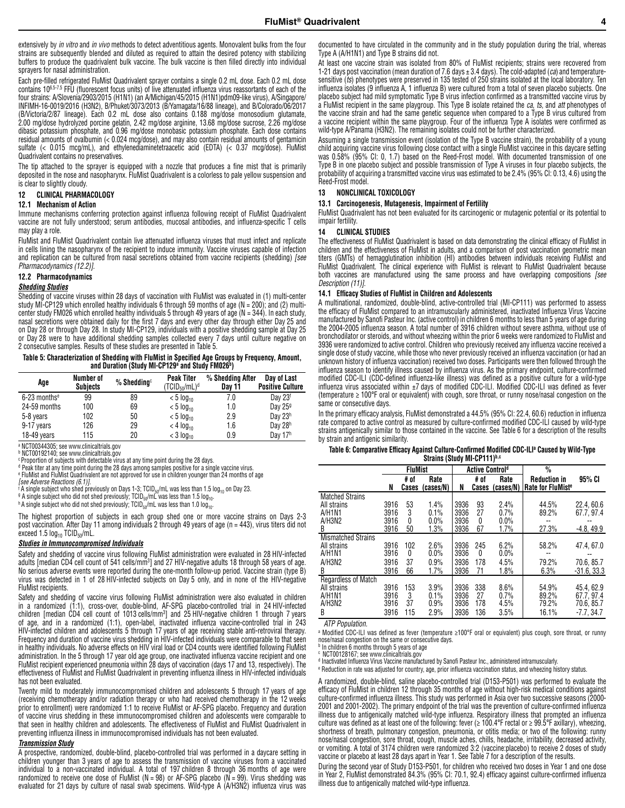extensively by *in vitro* and *in vivo* methods to detect adventitious agents. Monovalent bulks from the four strains are subsequently blended and diluted as required to attain the desired potency with stabilizing buffers to produce the quadrivalent bulk vaccine. The bulk vaccine is then filled directly into individual sprayers for nasal administration.

Each pre-filled refrigerated FluMist Quadrivalent sprayer contains a single 0.2 mL dose. Each 0.2 mL dose<br>contains 10<sup>6.5-7.5</sup> FFU (fluorescent focus units) of live attenuated influenza virus reassortants of each of the four strains: A/Slovenia/2903/2015 (H1N1) (an A/Michigan/45/2015 (H1N1)pdm09-like virus), A/Singapore/ INFIMH-16-0019/2016 (H3N2), B/Phuket/3073/2013 (B/Yamagata/16/88 lineage), and B/Colorado/06/2017 (B/Victoria/2/87 lineage). Each 0.2 mL dose also contains 0.188 mg/dose monosodium glutamate, 2.00 mg/dose hydrolyzed porcine gelatin, 2.42 mg/dose arginine, 13.68 mg/dose sucrose, 2.26 mg/dose dibasic potassium phosphate, and 0.96 mg/dose monobasic potassium phosphate. Each dose contains residual amounts of ovalbumin (< 0.024 mcg/dose), and may also contain residual amounts of gentamicin sulfate (< 0.015 mcg/mL), and ethylenediaminetetraacetic acid (EDTA) (< 0.37 mcg/dose). FluMist Quadrivalent contains no preservatives.

The tip attached to the sprayer is equipped with a nozzle that produces a fine mist that is primarily deposited in the nose and nasopharynx. FluMist Quadrivalent is a colorless to pale yellow suspension and is clear to slightly cloudy.

#### **12 CLINICAL PHARMACOLOGY**

#### **12.1 Mechanism of Action**

Immune mechanisms conferring protection against influenza following receipt of FluMist Quadrivalent vaccine are not fully understood; serum antibodies, mucosal antibodies, and influenza-specific T cells may play a role.

FluMist and FluMist Quadrivalent contain live attenuated influenza viruses that must infect and replicate in cells lining the nasopharynx of the recipient to induce immunity. Vaccine viruses capable of infection and replication can be cultured from nasal secretions obtained from vaccine recipients (shedding) *[see Pharmacodynamics (12.2)]*.

#### **12.2 Pharmacodynamics**

#### *Shedding Studies*

Shedding of vaccine viruses within 28 days of vaccination with FluMist was evaluated in (1) multi-center study MI-CP129 which enrolled healthy individuals 6 through 59 months of age (N = 200); and (2) multicenter study FM026 which enrolled healthy individuals 5 through 49 years of age (N = 344). In each study, nasal secretions were obtained daily for the first 7 days and every other day through either Day 25 and on Day 28 or through Day 28. In study MI-CP129, individuals with a positive shedding sample at Day 25 or Day 28 were to have additional shedding samples collected every 7 days until culture negative on 2 consecutive samples. Results of these studies are presented in Table 5.

| Table 5: Characterization of Shedding with FluMist in Specified Age Groups by Frequency, Amount, |  |  |  |
|--------------------------------------------------------------------------------------------------|--|--|--|
| and Duration (Study MI-CP129 <sup>a</sup> and Study FM026 <sup>b</sup> )                         |  |  |  |

| Age                        | Number of<br><b>Subjects</b> | $%$ Shedding $c$ | <b>Peak Titer</b><br>(TCID <sub>50</sub> /mL) <sup>d</sup> | % Shedding After<br>Dav 11 | Day of Last<br><b>Positive Culture</b> |
|----------------------------|------------------------------|------------------|------------------------------------------------------------|----------------------------|----------------------------------------|
| $6-23$ months <sup>e</sup> | 99                           | 89               | $< 5$ log <sub>10</sub>                                    | 7.0                        | Day 23 <sup>f</sup>                    |
| 24-59 months               | 100                          | 69               | $< 5$ $log_{10}$                                           | 1.0                        | Day $259$                              |
| 5-8 years                  | 102                          | 50               | $< 5$ $log_{10}$                                           | 2.9                        | Day 23h                                |
| 9-17 years                 | 126                          | 29               | $< 4$ log <sub>10</sub>                                    | 1.6                        | Day 28h                                |
| 18-49 years                | 115                          | 20               | $<$ 3 $log_{10}$                                           | 0.9                        | Day 17h                                |

ª NCT00344305; see www.clinicaltrials.gov<br>\* NCT00192140; see www.clinicaltrials.gov<br>° Proportion of subjects with detectable virus at any time point during the 28 days.

ª Peak titer at any time point during the 28 days among samples positive for a single vaccine virus.<br>ª FluMist and FluMist Quadrivalent are not approved for use in children younger than 24 months of age

*[see Adverse Reactions (6.1)]*.

r A single subject who shed previously on Days 1-3; TCID<sub>50</sub>/mL was less than 1.5 log<sub>10</sub> on Day 23.<br>º A single subject who did not shed previously; TCID<sub>50</sub>/mL was less than 1.5 log<sub>10</sub>.

h A single subject who did not shed previously; TCID $_{50}$ /mL was less than 1.0 log<sub>10</sub>.

The highest proportion of subjects in each group shed one or more vaccine strains on Days 2-3 post vaccination. After Day 11 among individuals 2 through 49 years of age (n = 443), virus titers did not exceed 1.5  $log_{10}$  TCID<sub>50</sub>/mL.

#### *Studies in Immunocompromised Individuals*

Safety and shedding of vaccine virus following FluMist administration were evaluated in 28 HIV-infected adults [median CD4 cell count of 541 cells/mm<sup>3</sup>] and 27 HIV-negative adults 18 through 58 years of age. No serious adverse events were reported during the one-month follow-up period. Vaccine strain (type B) virus was detected in 1 of 28 HIV-infected subjects on Day 5 only, and in none of the HIV-negative FluMist recipients.

Safety and shedding of vaccine virus following FluMist administration were also evaluated in children in a randomized (1:1), cross-over, double-blind, AF-SPG placebo-controlled trial in 24 HIV-infected children [median CD4 cell count of 1013 cells/mm3 ] and 25 HIV-negative children 1 through 7 years of age, and in a randomized (1:1), open-label, inactivated influenza vaccine-controlled trial in 243 HIV-infected children and adolescents 5 through 17 years of age receiving stable anti-retroviral therapy. Frequency and duration of vaccine virus shedding in HIV-infected individuals were comparable to that seen in healthy individuals. No adverse effects on HIV viral load or CD4 counts were identified following FluMist administration. In the 5 through 17 year old age group, one inactivated influenza vaccine recipient and one FluMist recipient experienced pneumonia within 28 days of vaccination (days 17 and 13, respectively). The effectiveness of FluMist and FluMist Quadrivalent in preventing influenza illness in HIV-infected individuals has not been evaluated.

Twenty mild to moderately immunocompromised children and adolescents 5 through 17 years of age (receiving chemotherapy and/or radiation therapy or who had received chemotherapy in the 12 weeks prior to enrollment) were randomized 1:1 to receive FluMist or AF-SPG placebo. Frequency and duration of vaccine virus shedding in these immunocompromised children and adolescents were comparable to that seen in healthy children and adolescents. The effectiveness of FluMist and FluMist Quadrivalent in preventing influenza illness in immunocompromised individuals has not been evaluated.

#### *Transmission Study*

A prospective, randomized, double-blind, placebo-controlled trial was performed in a daycare setting in children younger than 3 years of age to assess the transmission of vaccine viruses from a vaccinated individual to a non-vaccinated individual. A total of 197 children 8 through 36 months of age were randomized to receive one dose of FluMist ( $N = 98$ ) or AF-SPG placebo ( $N = 99$ ). Virus shedding was evaluated for 21 days by culture of nasal swab specimens. Wild-type A (A/H3N2) influenza virus was

documented to have circulated in the community and in the study population during the trial, whereas Type A (A/H1N1) and Type B strains did not.

At least one vaccine strain was isolated from 80% of FluMist recipients; strains were recovered from 1-21 days post vaccination (mean duration of 7.6 days ± 3.4 days). The cold-adapted (*ca*) and temperaturesensitive (*ts*) phenotypes were preserved in 135 tested of 250 strains isolated at the local laboratory. Ten influenza isolates (9 influenza A, 1 influenza B) were cultured from a total of seven placebo subjects. One placebo subject had mild symptomatic Type B virus infection confirmed as a transmitted vaccine virus by a FluMist recipient in the same playgroup. This Type B isolate retained the *ca*, *ts*, and *att* phenotypes of the vaccine strain and had the same genetic sequence when compared to a Type B virus cultured from a vaccine recipient within the same playgroup. Four of the influenza Type A isolates were confirmed as wild-type A/Panama (H3N2). The remaining isolates could not be further characterized.

Assuming a single transmission event (isolation of the Type B vaccine strain), the probability of a young child acquiring vaccine virus following close contact with a single FluMist vaccinee in this daycare setting was 0.58% (95% CI: 0, 1.7) based on the Reed-Frost model. With documented transmission of one Type B in one placebo subject and possible transmission of Type A viruses in four placebo subjects, the probability of acquiring a transmitted vaccine virus was estimated to be 2.4% (95% CI: 0.13, 4.6) using the Reed-Frost model.

#### **13 NONCLINICAL TOXICOLOGY**

#### **13.1 Carcinogenesis, Mutagenesis, Impairment of Fertility**

FluMist Quadrivalent has not been evaluated for its carcinogenic or mutagenic potential or its potential to impair fertility.

#### **14 CLINICAL STUDIES**

The effectiveness of FluMist Quadrivalent is based on data demonstrating the clinical efficacy of FluMist in children and the effectiveness of FluMist in adults, and a comparison of post vaccination geometric mean titers (GMTs) of hemagglutination inhibition (HI) antibodies between individuals receiving FluMist and FluMist Quadrivalent. The clinical experience with FluMist is relevant to FluMist Quadrivalent because both vaccines are manufactured using the same process and have overlapping compositions *[see Description (11)]*.

#### **14.1 Efficacy Studies of FluMist in Children and Adolescents**

A multinational, randomized, double-blind, active-controlled trial (MI-CP111) was performed to assess the efficacy of FluMist compared to an intramuscularly administered, inactivated Influenza Virus Vaccine manufactured by Sanofi Pasteur Inc. (active control) in children 6 months to less than 5 years of age during the 2004-2005 influenza season. A total number of 3916 children without severe asthma, without use of bronchodilator or steroids, and without wheezing within the prior 6 weeks were randomized to FluMist and 3936 were randomized to active control. Children who previously received any influenza vaccine received a single dose of study vaccine, while those who never previously received an influenza vaccination (or had an unknown history of influenza vaccination) received two doses. Participants were then followed through the influenza season to identify illness caused by influenza virus. As the primary endpoint, culture-confirmed modified CDC-ILI (CDC-defined influenza-like illness) was defined as a positive culture for a wild-type influenza virus associated within ±7 days of modified CDC-ILI. Modified CDC-ILI was defined as fever (temperature ≥ 100°F oral or equivalent) with cough, sore throat, or runny nose/nasal congestion on the same or consecutive days.

In the primary efficacy analysis, FluMist demonstrated a 44.5% (95% CI: 22.4, 60.6) reduction in influenza rate compared to active control as measured by culture-confirmed modified CDC-ILI caused by wild-type strains antigenically similar to those contained in the vaccine. See Table 6 for a description of the results by strain and antigenic similarity.

#### **Table 6: Comparative Efficacy Against Culture-Confirmed Modified CDC-ILIa Caused by Wild-Type Strains (Study MI-CP111)b,c**

|                            | <b>FluMist</b> |               |                   | <b>Active Control<sup>d</sup></b> |               | $\frac{0}{0}$ |                                                                  |              |
|----------------------------|----------------|---------------|-------------------|-----------------------------------|---------------|---------------|------------------------------------------------------------------|--------------|
|                            | N              | # of<br>Cases | Rate<br>(cases/N) | N                                 | # of<br>Cases | Rate          | <b>Reduction in</b><br>(cases/N)   Rate for FluMist <sup>e</sup> | 95% CI       |
| <b>Matched Strains</b>     |                |               |                   |                                   |               |               |                                                                  |              |
| All strains                | 3916           | 53            | 1.4%              | 3936                              | 93            | 2.4%          | 44.5%                                                            | 22.4, 60.6   |
| A/H1N1                     | 3916           | 3             | 0.1%              | 3936                              | 27            | 0.7%          | 89.2%                                                            | 67.7, 97.4   |
| A/H3N2                     | 3916           | 0             | $0.0\%$           | 3936                              | 0             | 0.0%          |                                                                  |              |
| B                          | 3916           | 50            | 1.3%              | 3936                              | 67            | 1.7%          | 27.3%                                                            | $-4.8, 49.9$ |
| <b>Mismatched Strains</b>  |                |               |                   |                                   |               |               |                                                                  |              |
| All strains                | 3916           | 102           | 2.6%              | 3936                              | 245           | 6.2%          | 58.2%                                                            | 47.4, 67.0   |
| A/H1N1                     | 3916           | 0             | $0.0\%$           | 3936                              | 0             | $0.0\%$       |                                                                  |              |
| A/H3N2                     | 3916           | 37            | 0.9%              | 3936                              | 178           | 4.5%          | 79.2%                                                            | 70.6, 85.7   |
| B                          | 3916           | 66            | 1.7%              | 3936                              | 71            | 1.8%          | 6.3%                                                             | $-31.6.33.3$ |
| <b>Regardless of Match</b> |                |               |                   |                                   |               |               |                                                                  |              |
| All strains                | 3916           | 153           | 3.9%              | 3936                              | 338           | 8.6%          | 54.9%                                                            | 45.4, 62.9   |
| A/H1N1                     | 3916           | 3             | 0.1%              | 3936                              | 27            | 0.7%          | 89.2%                                                            | 67.7.97.4    |
| A/H3N2                     | 3916           | 37            | 0.9%              | 3936                              | 178           | 4.5%          | 79.2%                                                            | 70.6, 85.7   |
| B                          | 3916           | 115           | 2.9%              | 3936                              | 136           | 3.5%          | 16.1%                                                            | $-7.7.34.7$  |

*ATP Population.*

a Modified CDC-ILI was defined as fever (temperature ≥100°F oral or equivalent) plus cough, sore throat, or runny

nose/nasal congestion on the same or consecutive days.<br>ʰ In children 6 months through 5 years of age<br>ʰ NCT00128167; see www.clinicaltrials.gov

d Inactivated Influenza Virus Vaccine manufactured by Sanofi Pasteur Inc., administered intramuscularly.

e Reduction in rate was adjusted for country, age, prior influenza vaccination status, and wheezing history status.

A randomized, double-blind, saline placebo-controlled trial (D153-P501) was performed to evaluate the efficacy of FluMist in children 12 through 35 months of age without high-risk medical conditions against culture-confirmed influenza illness. This study was performed in Asia over two successive seasons (2000- 2001 and 2001-2002). The primary endpoint of the trial was the prevention of culture-confirmed influenza illness due to antigenically matched wild-type influenza. Respiratory illness that prompted an influenza culture was defined as at least one of the following: fever (≥ 100.4°F rectal or ≥ 99.5°F axillary), wheezing, shortness of breath, pulmonary congestion, pneumonia, or otitis media; or two of the following: runny nose/nasal congestion, sore throat, cough, muscle aches, chills, headache, irritability, decreased activity, or vomiting. A total of 3174 children were randomized 3:2 (vaccine:placebo) to receive 2 doses of study vaccine or placebo at least 28 days apart in Year 1. See Table 7 for a description of the results.

During the second year of Study D153-P501, for children who received two doses in Year 1 and one dose in Year 2, FluMist demonstrated 84.3% (95% CI: 70.1, 92.4) efficacy against culture-confirmed influenza illness due to antigenically matched wild-type influenza.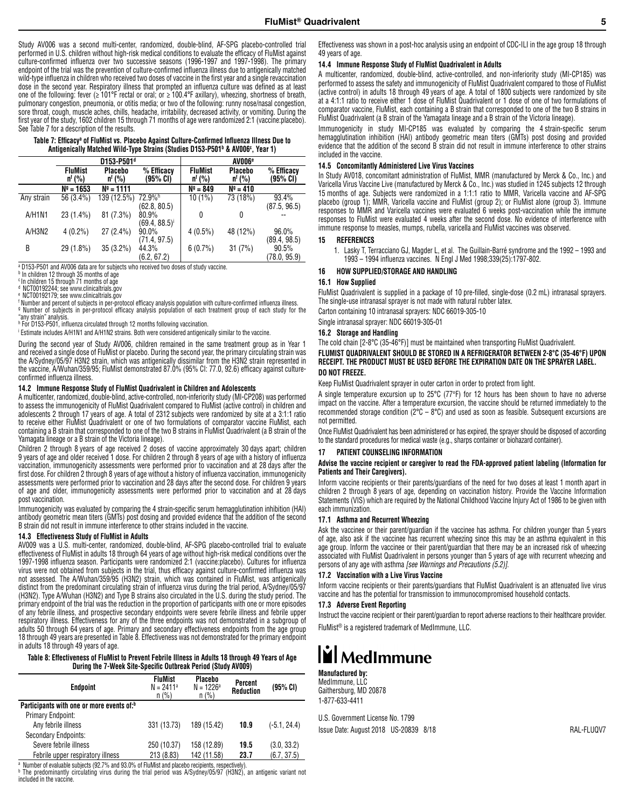Study AV006 was a second multi-center, randomized, double-blind, AF-SPG placebo-controlled trial performed in U.S. children without high-risk medical conditions to evaluate the efficacy of FluMist against culture-confirmed influenza over two successive seasons (1996-1997 and 1997-1998). The primary endpoint of the trial was the prevention of culture-confirmed influenza illness due to antigenically matched wild-type influenza in children who received two doses of vaccine in the first year and a single revaccination dose in the second year. Respiratory illness that prompted an influenza culture was defined as at least one of the following: fever (≥ 101°F rectal or oral; or ≥ 100.4°F axillary), wheezing, shortness of breath, pulmonary congestion, pneumonia, or otitis media; or two of the following: runny nose/nasal congestion, sore throat, cough, muscle aches, chills, headache, irritability, decreased activity, or vomiting. During the first year of the study, 1602 children 15 through 71 months of age were randomized 2:1 (vaccine:placebo). See Table 7 for a description of the results.

#### **Table 7: Efficacya of FluMist vs. Placebo Against Culture-Confirmed Influenza Illness Due to Antigenically Matched Wild-Type Strains (Studies D153-P501<sup>b</sup> & AV006<sup>c</sup> , Year 1)**

|            | D153-P501 <sup>d</sup>        |                        |                                    | AV006 <sup>e</sup>            |                               |                        |
|------------|-------------------------------|------------------------|------------------------------------|-------------------------------|-------------------------------|------------------------|
|            | <b>FluMist</b><br>$n^{f}$ (%) | Placebo<br>$n^{f}$ (%) | % Efficacy<br>(95% CI)             | <b>FluMist</b><br>$n^{1}$ (%) | <b>Placebo</b><br>$n^{f}$ (%) | % Efficacy<br>(95% CI) |
|            | $N9 = 1653$                   | $N9 = 1111$            |                                    | $N9 = 849$                    | $N9 = 410$                    |                        |
| Any strain | 56 (3.4%)                     | 139 (12.5%)            | 72.9% <sup>h</sup><br>(62.8, 80.5) | $10(1\%)$                     | 73 (18%)                      | 93.4%<br>(87.5, 96.5)  |
| A/H1N1     | $23(1.4\%)$                   | 81 (7.3%)              | 80.9%<br>$(69.4, 88.5)^{i}$        | 0                             | 0                             | --                     |
| A/H3N2     | $4(0.2\%)$                    | $27(2.4\%)$            | $90.0\%$<br>(71.4, 97.5)           | $4(0.5\%)$                    | 48 (12%)                      | 96.0%<br>(89.4, 98.5)  |
| B          | 29 (1.8%)                     | 35 (3.2%)              | 44.3%<br>(6.2, 67.2)               | $6(0.7\%)$                    | 31(7%)                        | 90.5%<br>(78.0, 95.9)  |

a D153-P501 and AV006 data are for subjects who received two doses of study vaccine.

<sup>b</sup> In children 12 through 35 months of age<br><sup>c</sup> In children 15 through 71 months of age

d NCT00192244; see www.clinicaltrials.gov

e NCT00192179; see www.clinicaltrials.gov

f Number and percent of subjects in per-protocol efficacy analysis population with culture-confirmed influenza illness. g Number of subjects in per-protocol efficacy analysis population of each treatment group of each study for the

"any strain" analysis. h For D153-P501, influenza circulated through 12 months following vaccination.

i Estimate includes A/H1N1 and A/H1N2 strains. Both were considered antigenically similar to the vaccine.

During the second year of Study AV006, children remained in the same treatment group as in Year 1 and received a single dose of FluMist or placebo. During the second year, the primary circulating strain was the A/Sydney/05/97 H3N2 strain, which was antigenically dissimilar from the H3N2 strain represented in the vaccine, A/Wuhan/359/95; FluMist demonstrated 87.0% (95% CI: 77.0, 92.6) efficacy against cultureconfirmed influenza illness.

#### **14.2 Immune Response Study of FluMist Quadrivalent in Children and Adolescents**

A multicenter, randomized, double-blind, active-controlled, non-inferiority study (MI-CP208) was performed to assess the immunogenicity of FluMist Quadrivalent compared to FluMist (active control) in children and adolescents 2 through 17 years of age. A total of 2312 subjects were randomized by site at a 3:1:1 ratio to receive either FluMist Quadrivalent or one of two formulations of comparator vaccine FluMist, each containing a B strain that corresponded to one of the two B strains in FluMist Quadrivalent (a B strain of the Yamagata lineage or a B strain of the Victoria lineage).

Children 2 through 8 years of age received 2 doses of vaccine approximately 30 days apart; children 9 years of age and older received 1 dose. For children 2 through 8 years of age with a history of influenza vaccination, immunogenicity assessments were performed prior to vaccination and at 28 days after the first dose. For children 2 through 8 years of age without a history of influenza vaccination, immunogenicity assessments were performed prior to vaccination and 28 days after the second dose. For children 9 years of age and older, immunogenicity assessments were performed prior to vaccination and at 28 days post vaccination.

Immunogenicity was evaluated by comparing the 4 strain-specific serum hemagglutination inhibition (HAI) antibody geometric mean titers (GMTs) post dosing and provided evidence that the addition of the second B strain did not result in immune interference to other strains included in the vaccine.

#### **14.3 Effectiveness Study of FluMist in Adults**

AV009 was a U.S. multi-center, randomized, double-blind, AF-SPG placebo-controlled trial to evaluate effectiveness of FluMist in adults 18 through 64 years of age without high-risk medical conditions over the 1997-1998 influenza season. Participants were randomized 2:1 (vaccine:placebo). Cultures for influenza virus were not obtained from subjects in the trial, thus efficacy against culture-confirmed influenza was not assessed. The A/Wuhan/359/95 (H3N2) strain, which was contained in FluMist, was antigenically distinct from the predominant circulating strain of influenza virus during the trial period, A/Sydney/05/97 (H3N2). Type A/Wuhan (H3N2) and Type B strains also circulated in the U.S. during the study period. The primary endpoint of the trial was the reduction in the proportion of participants with one or more episodes of any febrile illness, and prospective secondary endpoints were severe febrile illness and febrile upper respiratory illness. Effectiveness for any of the three endpoints was not demonstrated in a subgroup of adults 50 through 64 years of age. Primary and secondary effectiveness endpoints from the age group 18 through 49 years are presented in Table 8. Effectiveness was not demonstrated for the primary endpoint in adults 18 through 49 years of age.

#### **Table 8: Effectiveness of FluMist to Prevent Febrile Illness in Adults 18 through 49 Years of Age During the 7-Week Site-Specific Outbreak Period (Study AV009)**

| Endpoint                                              | <b>FluMist</b><br>$N = 2411a$<br>$n$ (%) | <b>Placebo</b><br>$N = 1226^a$<br>$n$ (%) | Percent<br>Reduction | (95% CI)       |
|-------------------------------------------------------|------------------------------------------|-------------------------------------------|----------------------|----------------|
| Participants with one or more events of: <sup>b</sup> |                                          |                                           |                      |                |
| <b>Primary Endpoint:</b>                              |                                          |                                           |                      |                |
| Any febrile illness                                   | 331 (13.73)                              | 189 (15.42)                               | 10.9                 | $(-5.1, 24.4)$ |
| <b>Secondary Endpoints:</b>                           |                                          |                                           |                      |                |
| Severe febrile illness                                | 250 (10.37)                              | 158 (12.89)                               | 19.5                 | (3.0, 33.2)    |
| Febrile upper respiratory illness                     | 213 (8.83)                               | 142 (11.58)                               | 23.7                 | (6.7, 37.5)    |

a Number of evaluable subjects (92.7% and 93.0% of FluMist and placebo recipients, respectively).

b The predominantly circulating virus during the trial period was A/Sydney/05/97 (H3N2), an antigenic variant not included in the vaccine.

Effectiveness was shown in a post-hoc analysis using an endpoint of CDC-ILI in the age group 18 through 49 years of age.

#### **14.4 Immune Response Study of FluMist Quadrivalent in Adults**

A multicenter, randomized, double-blind, active-controlled, and non-inferiority study (MI-CP185) was performed to assess the safety and immunogenicity of FluMist Quadrivalent compared to those of FluMist (active control) in adults 18 through 49 years of age. A total of 1800 subjects were randomized by site at a 4:1:1 ratio to receive either 1 dose of FluMist Quadrivalent or 1 dose of one of two formulations of comparator vaccine, FluMist, each containing a B strain that corresponded to one of the two B strains in FluMist Quadrivalent (a B strain of the Yamagata lineage and a B strain of the Victoria lineage).

Immunogenicity in study MI-CP185 was evaluated by comparing the 4 strain-specific serum hemagglutination inhibition (HAI) antibody geometric mean titers (GMTs) post dosing and provided evidence that the addition of the second B strain did not result in immune interference to other strains included in the vaccine.

#### **14.5 Concomitantly Administered Live Virus Vaccines**

In Study AV018, concomitant administration of FluMist, MMR (manufactured by Merck & Co., Inc.) and Varicella Virus Vaccine Live (manufactured by Merck & Co., Inc.) was studied in 1245 subjects 12 through 15 months of age. Subjects were randomized in a 1:1:1 ratio to MMR, Varicella vaccine and AF-SPG placebo (group 1); MMR, Varicella vaccine and FluMist (group 2); or FluMist alone (group 3). Immune responses to MMR and Varicella vaccines were evaluated 6 weeks post-vaccination while the immune responses to FluMist were evaluated 4 weeks after the second dose. No evidence of interference with immune response to measles, mumps, rubella, varicella and FluMist vaccines was observed.

#### **15 REFERENCES**

1. Lasky T, Terracciano GJ, Magder L, et al. The Guillain-Barré syndrome and the 1992 – 1993 and 1993 – 1994 influenza vaccines. N Engl J Med 1998;339(25):1797-802.

#### **16 HOW SUPPLIED/STORAGE AND HANDLING**

#### **16.1 How Supplied**

FluMist Quadrivalent is supplied in a package of 10 pre-filled, single-dose (0.2 mL) intranasal sprayers. The single-use intranasal sprayer is not made with natural rubber latex.

Carton containing 10 intranasal sprayers: NDC 66019-305-10

Single intranasal sprayer: NDC 66019-305-01

#### **16.2 Storage and Handling**

The cold chain [2-8°C (35-46°F)] must be maintained when transporting FluMist Quadrivalent. **FLUMIST QUADRIVALENT SHOULD BE STORED IN A REFRIGERATOR BETWEEN 2-8°C (35-46°F) UPON RECEIPT. THE PRODUCT MUST BE USED BEFORE THE EXPIRATION DATE ON THE SPRAYER LABEL. DO NOT FREEZE.**

Keep FluMist Quadrivalent sprayer in outer carton in order to protect from light. A single temperature excursion up to 25°C (77°F) for 12 hours has been shown to have no adverse

impact on the vaccine. After a temperature excursion, the vaccine should be returned immediately to the recommended storage condition ( $2^{\circ}$ C –  $8^{\circ}$ C) and used as soon as feasible. Subsequent excursions are not permitted.

Once FluMist Quadrivalent has been administered or has expired, the sprayer should be disposed of according to the standard procedures for medical waste (e.g., sharps container or biohazard container).

#### **17 PATIENT COUNSELING INFORMATION**

#### **Advise the vaccine recipient or caregiver to read the FDA-approved patient labeling (Information for Patients and Their Caregivers).**

Inform vaccine recipients or their parents/guardians of the need for two doses at least 1 month apart in children 2 through 8 years of age, depending on vaccination history. Provide the Vaccine Information Statements (VIS) which are required by the National Childhood Vaccine Injury Act of 1986 to be given with each immunization.

#### **17.1 Asthma and Recurrent Wheezing**

Ask the vaccinee or their parent/guardian if the vaccinee has asthma. For children younger than 5 years of age, also ask if the vaccinee has recurrent wheezing since this may be an asthma equivalent in this age group. Inform the vaccinee or their parent/guardian that there may be an increased risk of wheezing associated with FluMist Quadrivalent in persons younger than 5 years of age with recurrent wheezing and persons of any age with asthma *[see Warnings and Precautions (5.2)]*.

#### **17.2 Vaccination with a Live Virus Vaccine**

Inform vaccine recipients or their parents/guardians that FluMist Quadrivalent is an attenuated live virus vaccine and has the potential for transmission to immunocompromised household contacts.

#### **17.3 Adverse Event Reporting**

Instruct the vaccine recipient or their parent/guardian to report adverse reactions to their healthcare provider. FluMist® is a registered trademark of MedImmune, LLC.

## lil MedImmune

#### **Manufactured by:**

MedImmune, LLC Gaithersburg, MD 20878 1-877-633-4411

U.S. Government License No. 1799 Issue Date: August 2018 US-20839 8/18 RAL-FLUQV7